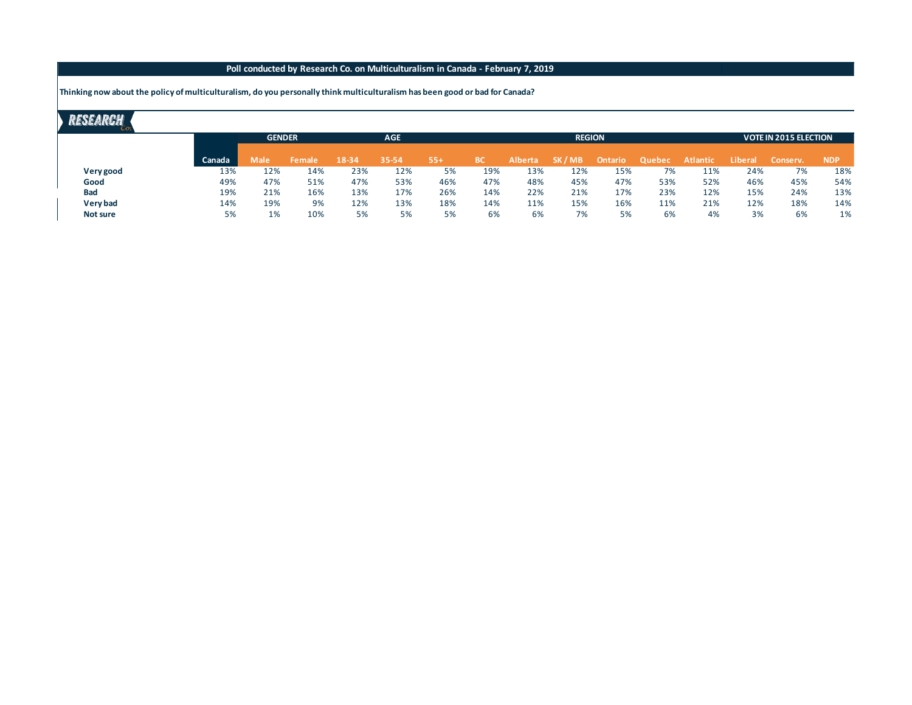## **Poll conducted by Research Co. on Multiculturalism in Canada - February 7, 2019**

**Thinking now about the policy of multiculturalism, do you personally think multiculturalism has been good or bad for Canada?**

# RESEARCH

|     |        |      | <b>AGE</b>              |       |       |       |           |                | <b>VOTE IN 2015 ELECTION</b> |                            |        |                 |                |            |
|-----|--------|------|-------------------------|-------|-------|-------|-----------|----------------|------------------------------|----------------------------|--------|-----------------|----------------|------------|
|     |        |      |                         |       |       |       |           |                |                              |                            |        |                 |                | <b>NDP</b> |
|     |        |      |                         |       |       |       |           |                |                              |                            |        |                 |                |            |
| 13% | 12%    | 14%  | 23%                     | 12%   | 5%    | 19%   | 13%       | 12%            | 15%                          | 7%                         | 11%    | 24%             | 7%             | 18%        |
| 49% | 47%    | 51%  | 47%                     | 53%   | 46%   | 47%   | 48%       | 45%            | 47%                          | 53%                        | 52%    | 46%             | 45%            | 54%        |
| 19% | 21%    | 16%  | 13%                     | 17%   | 26%   | 14%   | 22%       | 21%            | 17%                          | 23%                        | 12%    | 15%             | 24%            | 13%        |
| 14% | 19%    | 9%   | 12%                     | 13%   | 18%   | 14%   | 11%       | 15%            | 16%                          | 11%                        | 21%    | 12%             | 18%            | 14%        |
| 5%  | 1%     | 10%  | 5%                      | 5%    | 5%    | 6%    | 6%        | 7%             | 5%                           | 6%                         | 4%     | 3%              | 6%             | 1%         |
|     | Canada | Male | <b>GENDER</b><br>Female | 18-34 | 35-54 | $55+$ | <b>BC</b> | <b>Alberta</b> | SK / MB                      | <b>REGION</b><br>Ontario ' | Quebec | <b>Atlantic</b> | <b>Liberal</b> | Conserv.   |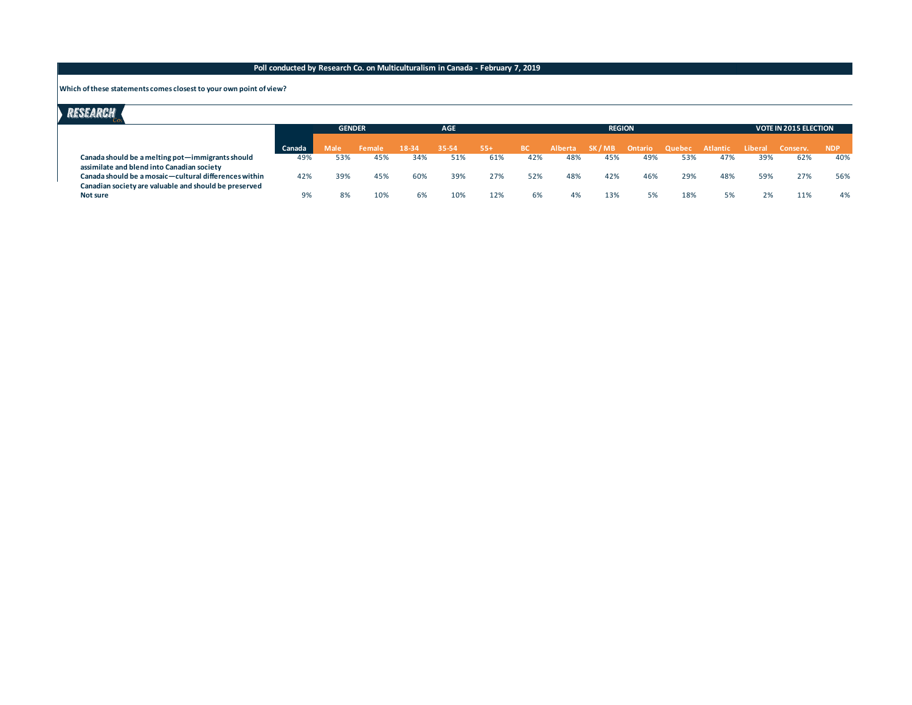### **Poll conducted by Research Co. on Multiculturalism in Canada - February 7, 2019**

#### **Which of these statements comes closest to your own point of view?**

# RESEARCH

|                                                                   |        | <b>GENDER</b> |        | <b>AGE</b> |       |       | <b>REGION</b> |     |                       |     |                 |     |         | <b>VOTE IN 2015 ELECTION</b> |            |  |
|-------------------------------------------------------------------|--------|---------------|--------|------------|-------|-------|---------------|-----|-----------------------|-----|-----------------|-----|---------|------------------------------|------------|--|
|                                                                   | Canada | Male          | Female | 18-34      | 35-54 | $55+$ | <b>BC</b>     |     | Alberta SK/MB Ontario |     | Quebec Atlantic |     | Liberal | Conserv.                     | <b>NDP</b> |  |
| Canada should be a melting pot-immigrants should                  | 49%    | 53%           | 45%    | 34%        | 51%   | 61%   | 42%           | 48% | 45%                   | 49% | 53%             | 47% | 39%     | 62%                          | 40%        |  |
| assimilate and blend into Canadian society                        |        |               |        |            |       |       |               |     |                       |     |                 |     |         |                              |            |  |
| Canada should be a mosaic-cultural differences within             | 42%    | 39%           | 45%    | 60%        | 39%   | 27%   | 52%           | 48% | 42%                   | 46% | 29%             | 48% | 59%     | 27%                          | 56%        |  |
| Canadian society are valuable and should be preserved<br>Not sure | 9%     | 8%            | 10%    | 6%         | 10%   | 12%   | 6%            | 4%  | 13%                   | 5%  | 18%             |     |         | 11%                          | 4%         |  |